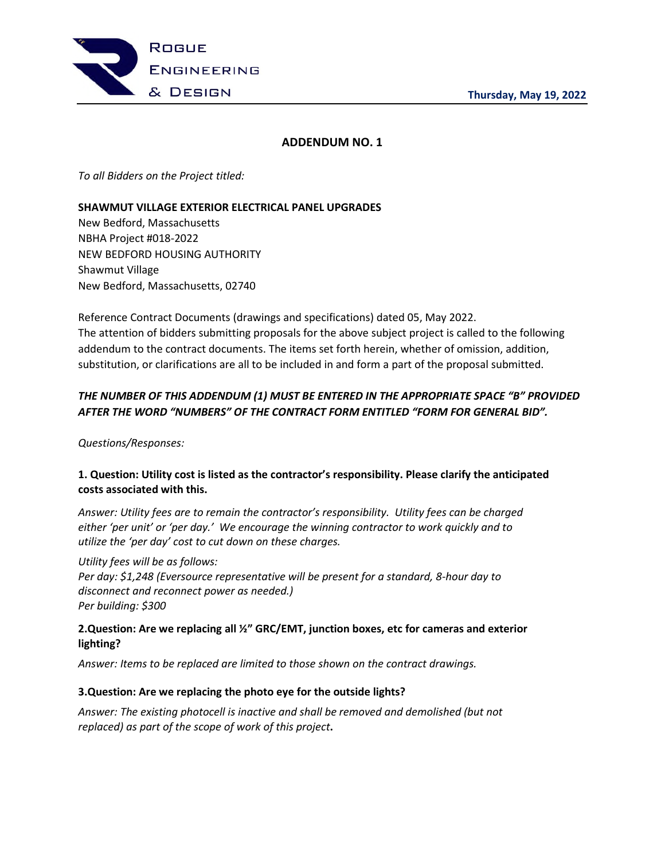

# **ADDENDUM NO. 1**

*To all Bidders on the Project titled:* 

## **SHAWMUT VILLAGE EXTERIOR ELECTRICAL PANEL UPGRADES**

New Bedford, Massachusetts NBHA Project #018-2022 NEW BEDFORD HOUSING AUTHORITY Shawmut Village New Bedford, Massachusetts, 02740

Reference Contract Documents (drawings and specifications) dated 05, May 2022. The attention of bidders submitting proposals for the above subject project is called to the following addendum to the contract documents. The items set forth herein, whether of omission, addition, substitution, or clarifications are all to be included in and form a part of the proposal submitted.

# *THE NUMBER OF THIS ADDENDUM (1) MUST BE ENTERED IN THE APPROPRIATE SPACE "B" PROVIDED AFTER THE WORD "NUMBERS" OF THE CONTRACT FORM ENTITLED "FORM FOR GENERAL BID".*

*Questions/Responses:* 

# **1. Question: Utility cost is listed as the contractor's responsibility. Please clarify the anticipated costs associated with this.**

*Answer: Utility fees are to remain the contractor's responsibility. Utility fees can be charged either 'per unit' or 'per day.' We encourage the winning contractor to work quickly and to utilize the 'per day' cost to cut down on these charges.* 

#### *Utility fees will be as follows:*

*Per day: \$1,248 (Eversource representative will be present for a standard, 8-hour day to disconnect and reconnect power as needed.) Per building: \$300*

## **2.Question: Are we replacing all ½" GRC/EMT, junction boxes, etc for cameras and exterior lighting?**

*Answer: Items to be replaced are limited to those shown on the contract drawings.*

#### **3.Question: Are we replacing the photo eye for the outside lights?**

*Answer: The existing photocell is inactive and shall be removed and demolished (but not replaced) as part of the scope of work of this project***.**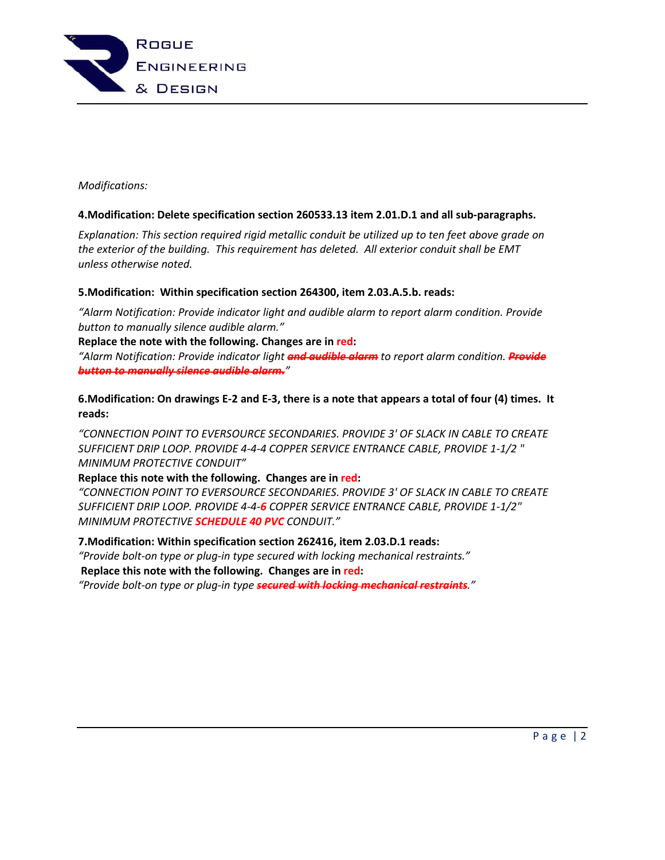

## *Modifications:*

## **4.Modification: Delete specification section 260533.13 item 2.01.D.1 and all sub-paragraphs.**

*Explanation: This section required rigid metallic conduit be utilized up to ten feet above grade on the exterior of the building. This requirement has deleted. All exterior conduit shall be EMT unless otherwise noted.* 

## **5.Modification: Within specification section 264300, item 2.03.A.5.b. reads:**

*"Alarm Notification: Provide indicator light and audible alarm to report alarm condition. Provide button to manually silence audible alarm."*

**Replace the note with the following. Changes are in red:**

*"Alarm Notification: Provide indicator light and audible alarm to report alarm condition. Provide button to manually silence audible alarm."*

**6.Modification: On drawings E-2 and E-3, there is a note that appears a total of four (4) times. It reads:** 

*"CONNECTION POINT TO EVERSOURCE SECONDARIES. PROVIDE 3' OF SLACK IN CABLE TO CREATE SUFFICIENT DRIP LOOP. PROVIDE 4-4-4 COPPER SERVICE ENTRANCE CABLE, PROVIDE 1-1/2 " MINIMUM PROTECTIVE CONDUIT"* 

#### **Replace this note with the following. Changes are in red:**

*"CONNECTION POINT TO EVERSOURCE SECONDARIES. PROVIDE 3' OF SLACK IN CABLE TO CREATE SUFFICIENT DRIP LOOP. PROVIDE 4-4-6 COPPER SERVICE ENTRANCE CABLE, PROVIDE 1-1/2" MINIMUM PROTECTIVE SCHEDULE 40 PVC CONDUIT."*

#### **7.Modification: Within specification section 262416, item 2.03.D.1 reads:**

*"Provide bolt-on type or plug-in type secured with locking mechanical restraints."*   **Replace this note with the following. Changes are in red:**

*"Provide bolt-on type or plug-in type secured with locking mechanical restraints."*